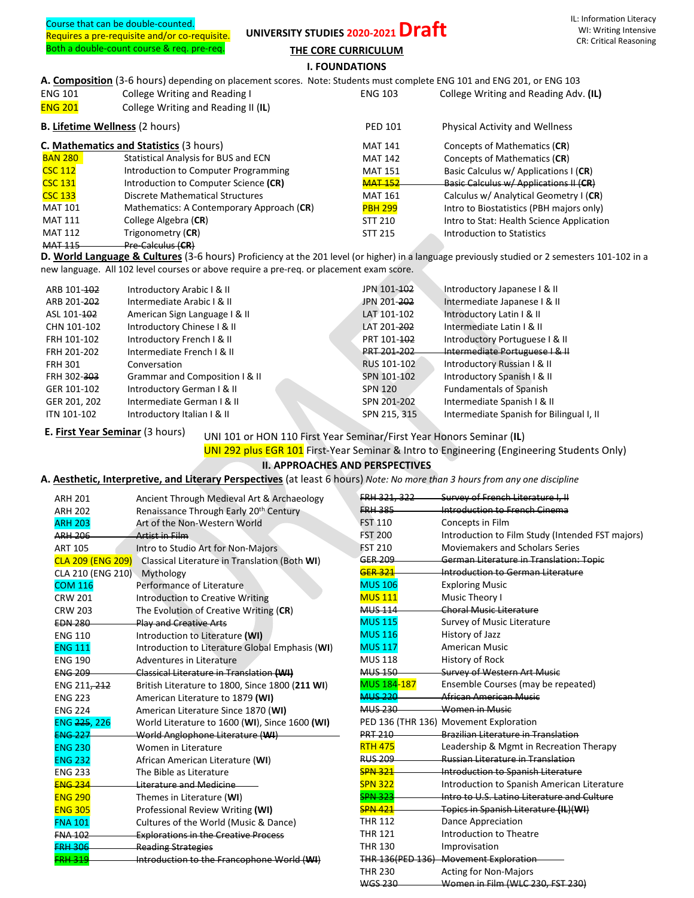Course that can be double-counted. Requires a pre-requisite and/or co-requisite. Both a double-count course & req. pre-req.

## UNIVERSITY STUDIES 2020-2021 Draft

**THE CORE CURRICULUM**

**I. FOUNDATIONS**

**A. Composition** (3-6 hours) depending on placement scores. Note: Students must complete ENG 101 and ENG 201, or ENG 103

| <b>ENG 101</b> | College Writing and Reading I                  | <b>ENG 103</b> | College Writing and Reading Adv. (IL)     |
|----------------|------------------------------------------------|----------------|-------------------------------------------|
| <b>ENG 201</b> | College Writing and Reading II (IL)            |                |                                           |
|                | <b>B.</b> Lifetime Wellness (2 hours)          | <b>PED 101</b> | Physical Activity and Wellness            |
|                | <b>C. Mathematics and Statistics (3 hours)</b> | <b>MAT 141</b> | Concepts of Mathematics (CR)              |
| <b>BAN 280</b> | <b>Statistical Analysis for BUS and ECN</b>    | <b>MAT 142</b> | Concepts of Mathematics (CR)              |
| <b>CSC 112</b> | Introduction to Computer Programming           | <b>MAT 151</b> | Basic Calculus w/ Applications I (CR)     |
| <b>CSC 131</b> | Introduction to Computer Science (CR)          | <b>MAT 152</b> | Basic Calculus w/ Applications II (CR)    |
| <b>CSC 133</b> | Discrete Mathematical Structures               | <b>MAT 161</b> | Calculus w/ Analytical Geometry I (CR)    |
| <b>MAT 101</b> | Mathematics: A Contemporary Approach (CR)      | <b>PBH 299</b> | Intro to Biostatistics (PBH majors only)  |
| <b>MAT 111</b> | College Algebra (CR)                           | <b>STT 210</b> | Intro to Stat: Health Science Application |
| <b>MAT 112</b> | Trigonometry (CR)                              | <b>STT 215</b> | Introduction to Statistics                |
| <b>MAT 115</b> | <b>Pre Calculus (CR)</b>                       |                |                                           |

**D. World Language & Cultures** (3-6 hours) Proficiency at the 201 level (or higher) in a language previously studied or 2 semesters 101-102 in a new language. All 102 level courses or above require a pre-req. or placement exam score.

| ARB 101-102             | Introductory Arabic I & II     | JPN 101-102             | Introductory Japanese I & II             |
|-------------------------|--------------------------------|-------------------------|------------------------------------------|
| ARB 201-202             | Intermediate Arabic I & II     | JPN 201- <del>202</del> | Intermediate Japanese I & II             |
| ASL 101-102             | American Sign Language   & II  | LAT 101-102             | Introductory Latin I & II                |
| CHN 101-102             | Introductory Chinese I & II    | LAT 201-202             | Intermediate Latin I & II                |
| FRH 101-102             | Introductory French I & II     | PRT 101-102             | Introductory Portuguese   & II           |
| FRH 201-202             | Intermediate French I & II     | PRT 201-202             | Intermediate Portuguese I & II           |
| <b>FRH 301</b>          | Conversation                   | RUS 101-102             | Introductory Russian I & II              |
| FRH 302- <del>303</del> | Grammar and Composition I & II | SPN 101-102             | Introductory Spanish I & II              |
| GER 101-102             | Introductory German I & II     | <b>SPN 120</b>          | <b>Fundamentals of Spanish</b>           |
| GER 201, 202            | Intermediate German I & II     | SPN 201-202             | Intermediate Spanish I & II              |
| ITN 101-102             | Introductory Italian I & II    | SPN 215, 315            | Intermediate Spanish for Bilingual I, II |
|                         |                                |                         |                                          |

**E. First Year Seminar** (3 hours)

UNI 101 or HON 110 First Year Seminar/First Year Honors Seminar (**IL**)

UNI 292 plus EGR 101 First-Year Seminar & Intro to Engineering (Engineering Students Only)

WGS 230 Women in Film (WLC 230, FST 230)

## **II. APPROACHES AND PERSPECTIVES**

**A. Aesthetic, Interpretive, and Literary Perspectives** (at least 6 hours) *Note: No more than 3 hours from any one discipline*

| <b>ARH 201</b>           | Ancient Through Medieval Art & Archaeology      | FRH 321.         | Survey of French Literature I. II                |
|--------------------------|-------------------------------------------------|------------------|--------------------------------------------------|
| <b>ARH 202</b>           | Renaissance Through Early 20th Century          | <b>FRH 385</b>   | Introduction to French Cinema                    |
| <b>ARH 203</b>           | Art of the Non-Western World                    | <b>FST 110</b>   | Concepts in Film                                 |
| <b>ARH 206</b>           | Artist in Film                                  | <b>FST 200</b>   | Introduction to Film Study (Intended FST majors) |
| <b>ART 105</b>           | Intro to Studio Art for Non-Majors              | <b>FST 210</b>   | Moviemakers and Scholars Series                  |
| <b>CLA 209 (ENG 209)</b> | Classical Literature in Translation (Both WI)   | GER 209          | German Literature in Translation: Topic          |
| CLA 210 (ENG 210)        | Mythology                                       | <b>GER 321</b>   | Introduction to German Literature                |
| <b>COM 116</b>           | Performance of Literature                       | <b>MUS 106</b>   | <b>Exploring Music</b>                           |
| <b>CRW 201</b>           | <b>Introduction to Creative Writing</b>         | <b>MUS 111</b>   | Music Theory I                                   |
| <b>CRW 203</b>           | The Evolution of Creative Writing (CR)          | <b>MUS 114</b>   | Choral Music Literature                          |
| <b>EDN 280</b>           | <b>Play and Creative Arts</b>                   | <b>MUS 115</b>   | Survey of Music Literature                       |
| <b>ENG 110</b>           | Introduction to Literature (WI)                 | <b>MUS 116</b>   | History of Jazz                                  |
| <b>ENG 111</b>           | Introduction to Literature Global Emphasis (WI) | <b>MUS 117</b>   | American Music                                   |
| <b>ENG 190</b>           | Adventures in Literature                        | <b>MUS 118</b>   | History of Rock                                  |
| <b>ENG 209</b>           | Classical Literature in Translation (WI)        | <b>MUS 150</b>   | <b>Survey of Western Art Music</b>               |
| ENG 211, 212             | British Literature to 1800, Since 1800 (211 WI) | MUS 184-187      | Ensemble Courses (may be repeated)               |
| <b>ENG 223</b>           | American Literature to 1879 (WI)                | <b>MUS 220</b>   | African American Music                           |
| <b>ENG 224</b>           | American Literature Since 1870 (WI)             | <b>MUS 230</b>   | Women in Music                                   |
| ENG 225, 226             | World Literature to 1600 (WI), Since 1600 (WI)  |                  | PED 136 (THR 136) Movement Exploration           |
| <b>ENG 227</b>           | World Anglophone Literature (WH)                | <b>PRT 210</b>   | <b>Brazilian Literature in Translation</b>       |
| <b>ENG 230</b>           | Women in Literature                             | <b>RTH 475</b>   | Leadership & Mgmt in Recreation Therapy          |
| <b>ENG 232</b>           | African American Literature (WI)                | <b>RUS 209</b>   | <b>Russian Literature in Translation</b>         |
| <b>ENG 233</b>           | The Bible as Literature                         | <b>SPN 321</b>   | Introduction to Spanish Literature               |
| <b>ENG 234</b>           | <b>Literature and Medicine</b>                  | <b>SPN 322</b>   | Introduction to Spanish American Literature      |
| <b>ENG 290</b>           | Themes in Literature (WI)                       | <b>SPN 323</b>   | Intro to U.S. Latino Literature and Culture      |
| <b>ENG 305</b>           | Professional Review Writing (WI)                | <b>SPN 421</b>   | Topics in Spanish Literature (IL)(WI)            |
| <b>FNA 101</b>           | Cultures of the World (Music & Dance)           | <b>THR 112</b>   | <b>Dance Appreciation</b>                        |
| <b>FNA 102</b>           | <b>Explorations in the Creative Process</b>     | <b>THR 121</b>   | Introduction to Theatre                          |
| <b>FRH 306</b>           | <b>Reading Strategies</b>                       | <b>THR 130</b>   | Improvisation                                    |
| <b>RH 319</b>            | Introduction to the Francophone World (WI)      | THR 136(PED 136) | <b>Movement Exploration</b>                      |
|                          |                                                 | <b>THR 230</b>   | <b>Acting for Non-Majors</b>                     |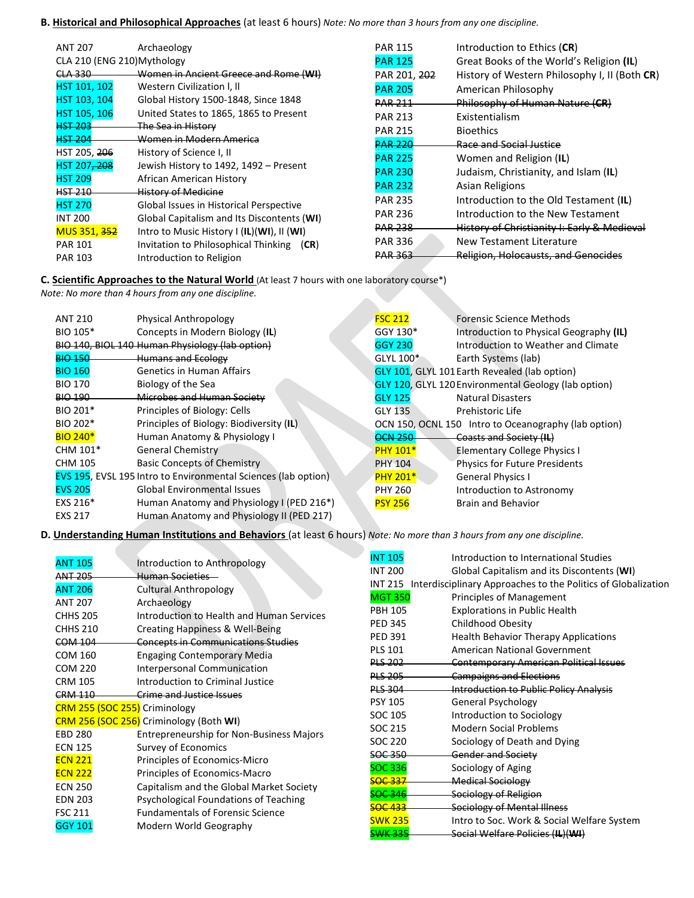## **B. Historical and Philosophical Approaches** (at least 6 hours) *Note: No more than 3 hours from any one discipline.*

| <b>ANT 207</b>              | Archaeology                                | <b>PAR 115</b> | Introduction to Ethics (CR)                   |
|-----------------------------|--------------------------------------------|----------------|-----------------------------------------------|
| CLA 210 (ENG 210) Mythology |                                            | <b>PAR 125</b> | Great Books of the World's Religion (IL)      |
| CLA 330                     | Women in Ancient Greece and Rome (WI)      | PAR 201, 202   | History of Western Philosophy I, II (Both CR) |
| HST 101, 102                | Western Civilization I, II                 | <b>PAR 205</b> | American Philosophy                           |
| HST 103, 104                | Global History 1500-1848, Since 1848       | <b>PAR 211</b> | Philosophy of Human Nature (CR)               |
| HST 105, 106                | United States to 1865, 1865 to Present     | <b>PAR 213</b> | Existentialism                                |
| <b>HST 203</b>              | The Sea in History                         | <b>PAR 215</b> | <b>Bioethics</b>                              |
| <b>HST 204</b>              | <u>Women in Modern America</u>             | <b>PAR 220</b> | Race and Social Justice                       |
| HST 205, 206                | History of Science I, II                   | <b>PAR 225</b> | Women and Religion (IL)                       |
| HST 207 <del>, 208</del>    | Jewish History to 1492, 1492 - Present     | <b>PAR 230</b> | Judaism, Christianity, and Islam (IL)         |
| <b>HST 209</b>              | African American History                   | <b>PAR 232</b> | Asian Religions                               |
| <b>HST 210</b>              | <b>History of Medicine</b>                 |                |                                               |
| <b>HST 270</b>              | Global Issues in Historical Perspective    | <b>PAR 235</b> | Introduction to the Old Testament (IL)        |
| <b>INT 200</b>              | Global Capitalism and Its Discontents (WI) | <b>PAR 236</b> | Introduction to the New Testament             |
| MUS 351, <del>352</del>     | Intro to Music History I (IL)(WI), II (WI) | <b>PAR 238</b> | History of Christianity I: Early & Medieval   |
| <b>PAR 101</b>              | Invitation to Philosophical Thinking (CR)  | <b>PAR 336</b> | New Testament Literature                      |
| <b>PAR 103</b>              | Introduction to Religion                   | <b>PAR 363</b> | Religion, Holocausts, and Genocides           |
|                             |                                            |                |                                               |

**C. Scientific Approaches to the Natural World** (At least 7 hours with one laboratory course\*) *Note: No more than 4 hours from any one discipline.*

| <b>ANT 210</b>  | <b>Physical Anthropology</b>                                          | <b>FSC 212</b>  | <b>Forensic Science Methods</b>                             |
|-----------------|-----------------------------------------------------------------------|-----------------|-------------------------------------------------------------|
| BIO 105*        | Concepts in Modern Biology (IL)                                       | GGY 130*        | Introduction to Physical Geography (IL)                     |
|                 | BIO 140, BIOL 140 Human Physiology (lab option)                       | <b>GGY 230</b>  | Introduction to Weather and Climate                         |
| <b>BIO 150</b>  | <b>Humans and Ecology</b>                                             | GLYL 100*       | Earth Systems (lab)                                         |
| <b>BIO 160</b>  | <b>Genetics in Human Affairs</b>                                      |                 | <b>GLY 101, GLYL 101 Earth Revealed (lab option)</b>        |
| <b>BIO 170</b>  | Biology of the Sea                                                    |                 | <b>GLY 120, GLYL 120 Environmental Geology (lab option)</b> |
| <b>BIO 190</b>  | Microbes and Human Society                                            | <b>GLY 125</b>  | <b>Natural Disasters</b>                                    |
| BIO 201*        | Principles of Biology: Cells                                          | GLY 135         | Prehistoric Life                                            |
| BIO 202*        | Principles of Biology: Biodiversity (IL)                              |                 | OCN 150, OCNL 150 Intro to Oceanography (lab option)        |
| <b>BIO 240*</b> | Human Anatomy & Physiology I                                          | <b>OCN 250</b>  | Coasts and Society (IL)                                     |
| CHM 101*        | <b>General Chemistry</b>                                              | <b>PHY 101*</b> | <b>Elementary College Physics I</b>                         |
| <b>CHM 105</b>  | <b>Basic Concepts of Chemistry</b>                                    | <b>PHY 104</b>  | <b>Physics for Future Presidents</b>                        |
|                 | <b>EVS 195, EVSL 195 Intro to Environmental Sciences (lab option)</b> | <b>PHY 201*</b> | <b>General Physics I</b>                                    |
| <b>EVS 205</b>  | <b>Global Environmental Issues</b>                                    | <b>PHY 260</b>  | Introduction to Astronomy                                   |
| EXS 216*        | Human Anatomy and Physiology I (PED 216*)                             | <b>PSY 256</b>  | Brain and Behavior                                          |
| <b>EXS 217</b>  | Human Anatomy and Physiology II (PED 217)                             |                 |                                                             |
|                 |                                                                       |                 |                                                             |

**D. Understanding Human Institutions and Behaviors** (at least 6 hours) *Note: No more than 3 hours from any one discipline.*

| <b>ANT 105</b><br><b>ANT 205</b><br><b>ANT 206</b><br><b>ANT 207</b><br><b>CHHS 205</b><br><b>CHHS 210</b><br><b>COM 104</b><br><b>COM 160</b><br><b>COM 220</b><br><b>CRM 105</b><br><b>CRM 110</b> | Introduction to Anthropology<br>Human Societies<br><b>Cultural Anthropology</b><br>Archaeology<br>Introduction to Health and Human Services<br>Creating Happiness & Well-Being<br><b>Concepts in Communications Studies</b><br><b>Engaging Contemporary Media</b><br>Interpersonal Communication<br>Introduction to Criminal Justice<br>Crime and Justice Issues<br>CRM 255 (SOC 255) Criminology | <b>INT 105</b><br><b>INT 200</b><br><b>MGT 350</b><br><b>PBH 105</b><br><b>PED 345</b><br><b>PED 391</b><br><b>PLS 101</b><br>PLS 202<br><b>PLS 205</b><br><b>PLS 304</b><br><b>PSY 105</b><br>SOC 105 | Introduction to International Studies<br>Global Capitalism and its Discontents (WI)<br>INT 215 Interdisciplinary Approaches to the Politics of Globalization<br>Principles of Management<br><b>Explorations in Public Health</b><br>Childhood Obesity<br>Health Behavior Therapy Applications<br>American National Government<br><b>Contemporary American Political Issues</b><br><b>Campaigns and Elections</b><br><b>Introduction to Public Policy Analysis</b><br>General Psychology<br>Introduction to Sociology |
|------------------------------------------------------------------------------------------------------------------------------------------------------------------------------------------------------|---------------------------------------------------------------------------------------------------------------------------------------------------------------------------------------------------------------------------------------------------------------------------------------------------------------------------------------------------------------------------------------------------|--------------------------------------------------------------------------------------------------------------------------------------------------------------------------------------------------------|----------------------------------------------------------------------------------------------------------------------------------------------------------------------------------------------------------------------------------------------------------------------------------------------------------------------------------------------------------------------------------------------------------------------------------------------------------------------------------------------------------------------|
| <b>EBD 280</b><br><b>ECN 125</b>                                                                                                                                                                     | CRM 256 (SOC 256) Criminology (Both WI)<br><b>Entrepreneurship for Non-Business Majors</b><br>Survey of Economics                                                                                                                                                                                                                                                                                 | SOC 215<br>SOC 220                                                                                                                                                                                     | <b>Modern Social Problems</b><br>Sociology of Death and Dying                                                                                                                                                                                                                                                                                                                                                                                                                                                        |
| <b>ECN 221</b><br><b>ECN 222</b><br><b>ECN 250</b><br><b>EDN 203</b><br><b>FSC 211</b><br><b>GGY 101</b>                                                                                             | Principles of Economics-Micro<br>Principles of Economics-Macro<br>Capitalism and the Global Market Society<br>Psychological Foundations of Teaching<br><b>Fundamentals of Forensic Science</b><br>Modern World Geography                                                                                                                                                                          | SOC 350<br><b>SOC 336</b><br><del>SOC 337</del><br>SOC 346<br><del>SOC 433</del><br><b>SWK 235</b><br><b>SWK 335</b>                                                                                   | Gender and Society<br>Sociology of Aging<br><b>Medical Sociology</b><br>Sociology of Religion<br>Sociology of Mental Illness<br>Intro to Soc. Work & Social Welfare System<br>Social Welfare Policies (IL)(WI)                                                                                                                                                                                                                                                                                                       |